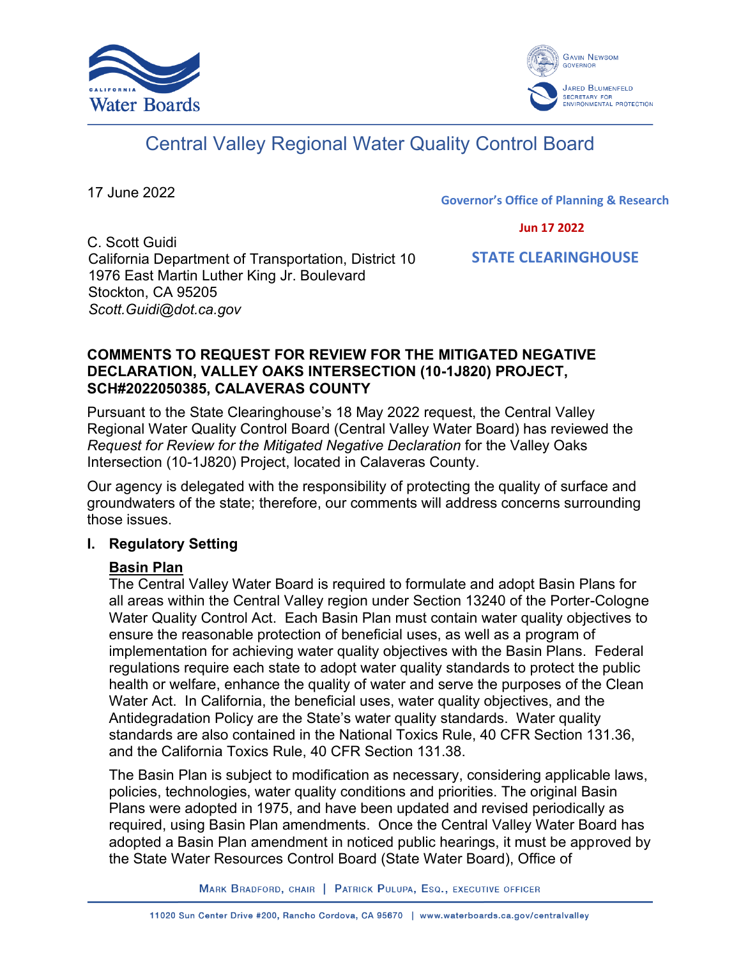



# Central Valley Regional Water Quality Control Board

17 June 2022

**Governor's Office of Planning & Research**

 **Jun 17 2022**

C. Scott Guidi California Department of Transportation, District 10 1976 East Martin Luther King Jr. Boulevard Stockton, CA 95205 *Scott.Guidi@dot.ca.gov*

 **STATE CLEARINGHOUSE**

#### **COMMENTS TO REQUEST FOR REVIEW FOR THE MITIGATED NEGATIVE DECLARATION, VALLEY OAKS INTERSECTION (10-1J820) PROJECT, SCH#2022050385, CALAVERAS COUNTY**

Pursuant to the State Clearinghouse's 18 May 2022 request, the Central Valley Regional Water Quality Control Board (Central Valley Water Board) has reviewed the *Request for Review for the Mitigated Negative Declaration* for the Valley Oaks Intersection (10-1J820) Project, located in Calaveras County.

Our agency is delegated with the responsibility of protecting the quality of surface and groundwaters of the state; therefore, our comments will address concerns surrounding those issues.

## **I. Regulatory Setting**

# **Basin Plan**

The Central Valley Water Board is required to formulate and adopt Basin Plans for all areas within the Central Valley region under Section 13240 of the Porter-Cologne Water Quality Control Act. Each Basin Plan must contain water quality objectives to ensure the reasonable protection of beneficial uses, as well as a program of implementation for achieving water quality objectives with the Basin Plans. Federal regulations require each state to adopt water quality standards to protect the public health or welfare, enhance the quality of water and serve the purposes of the Clean Water Act. In California, the beneficial uses, water quality objectives, and the Antidegradation Policy are the State's water quality standards. Water quality standards are also contained in the National Toxics Rule, 40 CFR Section 131.36, and the California Toxics Rule, 40 CFR Section 131.38.

The Basin Plan is subject to modification as necessary, considering applicable laws, policies, technologies, water quality conditions and priorities. The original Basin Plans were adopted in 1975, and have been updated and revised periodically as required, using Basin Plan amendments. Once the Central Valley Water Board has adopted a Basin Plan amendment in noticed public hearings, it must be approved by the State Water Resources Control Board (State Water Board), Office of

MARK BRADFORD, CHAIR | PATRICK PULUPA, ESQ., EXECUTIVE OFFICER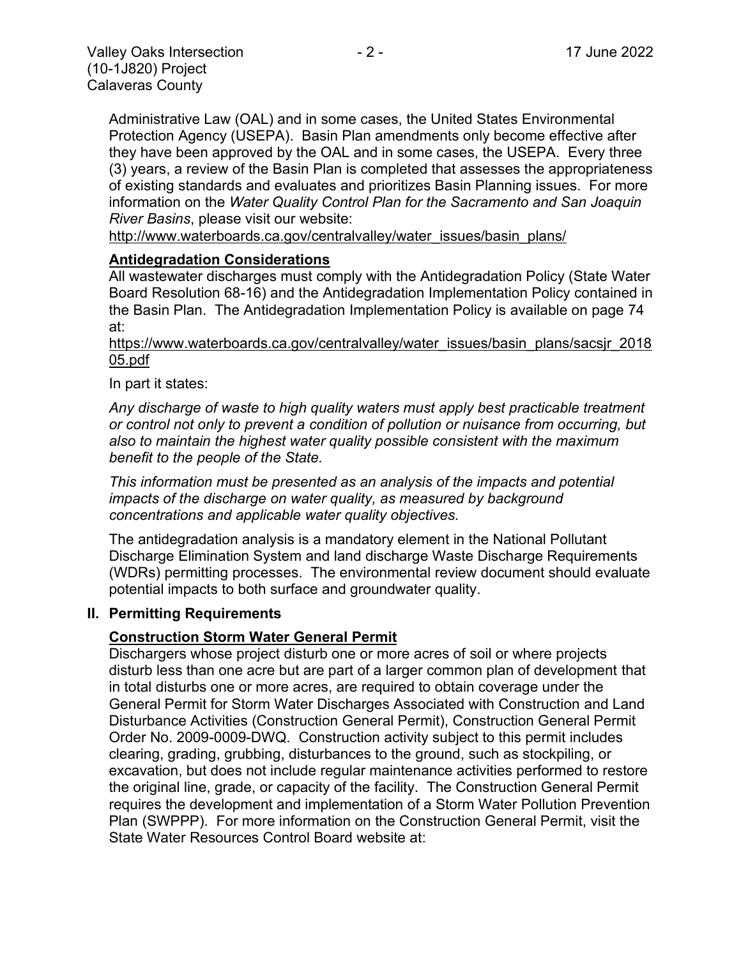Administrative Law (OAL) and in some cases, the United States Environmental Protection Agency (USEPA). Basin Plan amendments only become effective after they have been approved by the OAL and in some cases, the USEPA. Every three (3) years, a review of the Basin Plan is completed that assesses the appropriateness of existing standards and evaluates and prioritizes Basin Planning issues. For more information on the *Water Quality Control Plan for the Sacramento and San Joaquin River Basins*, please visit our website:

[http://www.waterboards.ca.gov/centralvalley/water\\_issues/basin\\_plans/](http://www.waterboards.ca.gov/centralvalley/water_issues/basin_plans/)

#### **Antidegradation Considerations**

All wastewater discharges must comply with the Antidegradation Policy (State Water Board Resolution 68-16) and the Antidegradation Implementation Policy contained in the Basin Plan. The Antidegradation Implementation Policy is available on page 74 at:

https://www.waterboards.ca.gov/centralvalley/water\_issues/basin\_plans/sacsjr\_2018 05.pdf

In part it states:

*Any discharge of waste to high quality waters must apply best practicable treatment or control not only to prevent a condition of pollution or nuisance from occurring, but also to maintain the highest water quality possible consistent with the maximum benefit to the people of the State.*

*This information must be presented as an analysis of the impacts and potential impacts of the discharge on water quality, as measured by background concentrations and applicable water quality objectives.*

The antidegradation analysis is a mandatory element in the National Pollutant Discharge Elimination System and land discharge Waste Discharge Requirements (WDRs) permitting processes. The environmental review document should evaluate potential impacts to both surface and groundwater quality.

#### **II. Permitting Requirements**

#### **Construction Storm Water General Permit**

Dischargers whose project disturb one or more acres of soil or where projects disturb less than one acre but are part of a larger common plan of development that in total disturbs one or more acres, are required to obtain coverage under the General Permit for Storm Water Discharges Associated with Construction and Land Disturbance Activities (Construction General Permit), Construction General Permit Order No. 2009-0009-DWQ. Construction activity subject to this permit includes clearing, grading, grubbing, disturbances to the ground, such as stockpiling, or excavation, but does not include regular maintenance activities performed to restore the original line, grade, or capacity of the facility. The Construction General Permit requires the development and implementation of a Storm Water Pollution Prevention Plan (SWPPP). For more information on the Construction General Permit, visit the State Water Resources Control Board website at: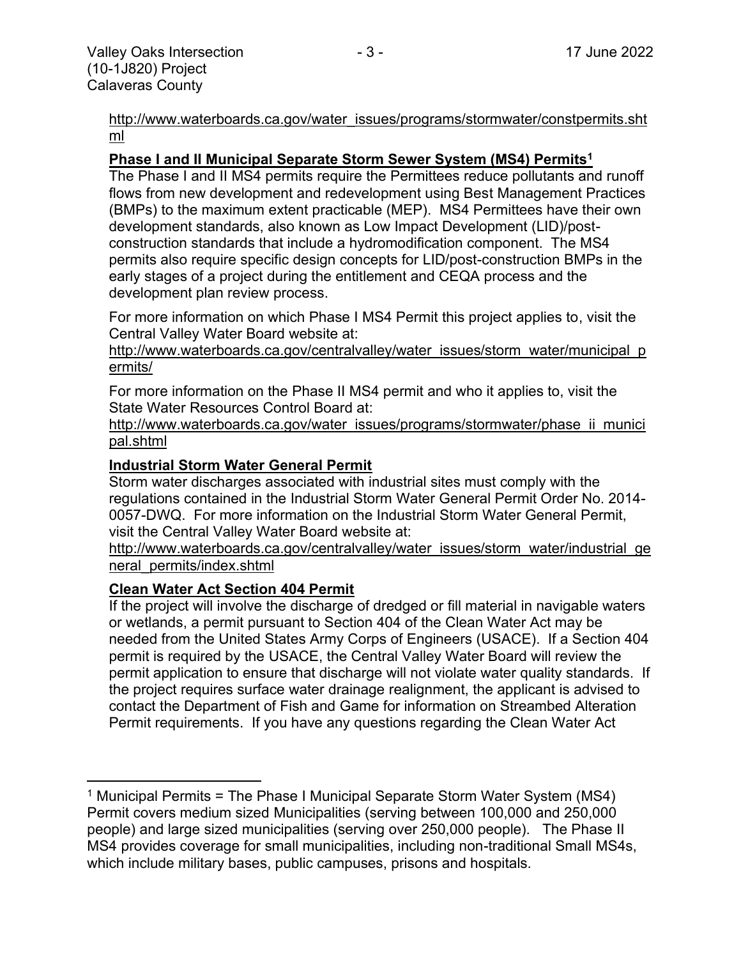[http://www.waterboards.ca.gov/water\\_issues/programs/stormwater/constpermits.sht](http://www.waterboards.ca.gov/water_issues/programs/stormwater/constpermits.shtml) [ml](http://www.waterboards.ca.gov/water_issues/programs/stormwater/constpermits.shtml)

#### **Phase I and II Municipal Separate Storm Sewer System (MS4) Permits<sup>1</sup>**

The Phase I and II MS4 permits require the Permittees reduce pollutants and runoff flows from new development and redevelopment using Best Management Practices (BMPs) to the maximum extent practicable (MEP). MS4 Permittees have their own development standards, also known as Low Impact Development (LID)/postconstruction standards that include a hydromodification component. The MS4 permits also require specific design concepts for LID/post-construction BMPs in the early stages of a project during the entitlement and CEQA process and the development plan review process.

For more information on which Phase I MS4 Permit this project applies to, visit the Central Valley Water Board website at:

http://www.waterboards.ca.gov/centralvalley/water\_issues/storm\_water/municipal\_p ermits/

For more information on the Phase II MS4 permit and who it applies to, visit the State Water Resources Control Board at:

http://www.waterboards.ca.gov/water\_issues/programs/stormwater/phase\_ii\_munici pal.shtml

#### **Industrial Storm Water General Permit**

Storm water discharges associated with industrial sites must comply with the regulations contained in the Industrial Storm Water General Permit Order No. 2014- 0057-DWQ. For more information on the Industrial Storm Water General Permit, visit the Central Valley Water Board website at:

http://www.waterboards.ca.gov/centralvalley/water\_issues/storm\_water/industrial\_ge neral\_permits/index.shtml

#### **Clean Water Act Section 404 Permit**

If the project will involve the discharge of dredged or fill material in navigable waters or wetlands, a permit pursuant to Section 404 of the Clean Water Act may be needed from the United States Army Corps of Engineers (USACE). If a Section 404 permit is required by the USACE, the Central Valley Water Board will review the permit application to ensure that discharge will not violate water quality standards. If the project requires surface water drainage realignment, the applicant is advised to contact the Department of Fish and Game for information on Streambed Alteration Permit requirements. If you have any questions regarding the Clean Water Act

<sup>&</sup>lt;sup>1</sup> Municipal Permits = The Phase I Municipal Separate Storm Water System (MS4) Permit covers medium sized Municipalities (serving between 100,000 and 250,000 people) and large sized municipalities (serving over 250,000 people). The Phase II MS4 provides coverage for small municipalities, including non-traditional Small MS4s, which include military bases, public campuses, prisons and hospitals.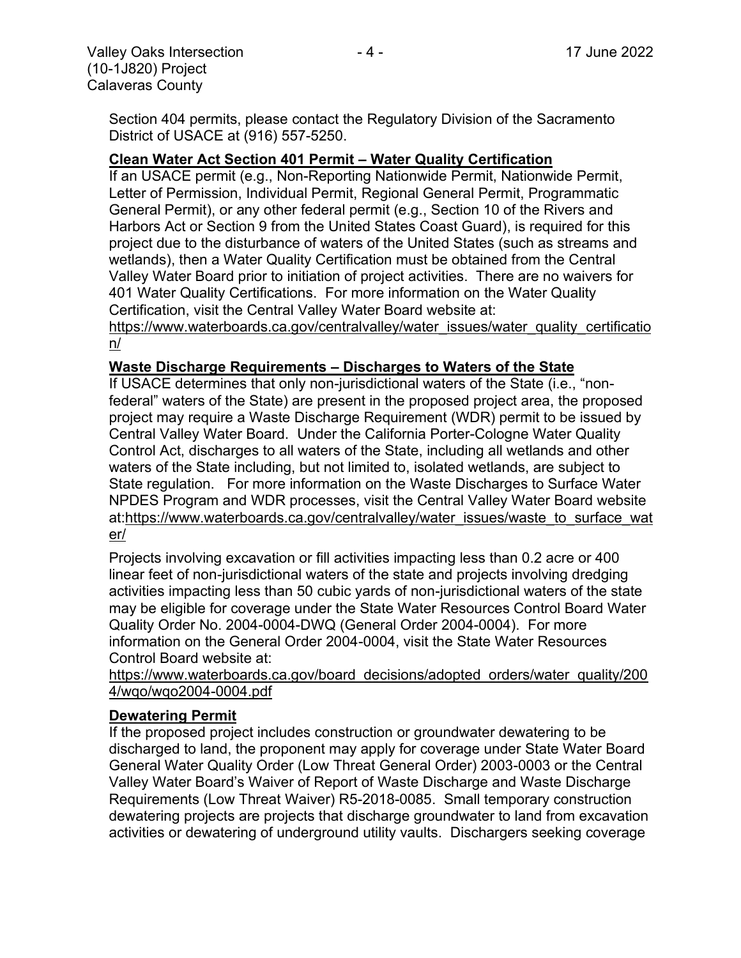Section 404 permits, please contact the Regulatory Division of the Sacramento District of USACE at (916) 557-5250.

#### **Clean Water Act Section 401 Permit – Water Quality Certification**

If an USACE permit (e.g., Non-Reporting Nationwide Permit, Nationwide Permit, Letter of Permission, Individual Permit, Regional General Permit, Programmatic General Permit), or any other federal permit (e.g., Section 10 of the Rivers and Harbors Act or Section 9 from the United States Coast Guard), is required for this project due to the disturbance of waters of the United States (such as streams and wetlands), then a Water Quality Certification must be obtained from the Central Valley Water Board prior to initiation of project activities. There are no waivers for 401 Water Quality Certifications. For more information on the Water Quality Certification, visit the Central Valley Water Board website at:

https://www.waterboards.ca.gov/centralvalley/water\_issues/water\_quality\_certificatio n/

#### **Waste Discharge Requirements – Discharges to Waters of the State**

If USACE determines that only non-jurisdictional waters of the State (i.e., "nonfederal" waters of the State) are present in the proposed project area, the proposed project may require a Waste Discharge Requirement (WDR) permit to be issued by Central Valley Water Board. Under the California Porter-Cologne Water Quality Control Act, discharges to all waters of the State, including all wetlands and other waters of the State including, but not limited to, isolated wetlands, are subject to State regulation. For more information on the Waste Discharges to Surface Water NPDES Program and WDR processes, visit the Central Valley Water Board website at:https://www.waterboards.ca.gov/centralvalley/water\_issues/waste\_to\_surface\_wat er/

Projects involving excavation or fill activities impacting less than 0.2 acre or 400 linear feet of non-jurisdictional waters of the state and projects involving dredging activities impacting less than 50 cubic yards of non-jurisdictional waters of the state may be eligible for coverage under the State Water Resources Control Board Water Quality Order No. 2004-0004-DWQ (General Order 2004-0004). For more information on the General Order 2004-0004, visit the State Water Resources Control Board website at:

https://www.waterboards.ca.gov/board\_decisions/adopted\_orders/water\_quality/200 4/wqo/wqo2004-0004.pdf

#### **Dewatering Permit**

If the proposed project includes construction or groundwater dewatering to be discharged to land, the proponent may apply for coverage under State Water Board General Water Quality Order (Low Threat General Order) 2003-0003 or the Central Valley Water Board's Waiver of Report of Waste Discharge and Waste Discharge Requirements (Low Threat Waiver) R5-2018-0085. Small temporary construction dewatering projects are projects that discharge groundwater to land from excavation activities or dewatering of underground utility vaults. Dischargers seeking coverage